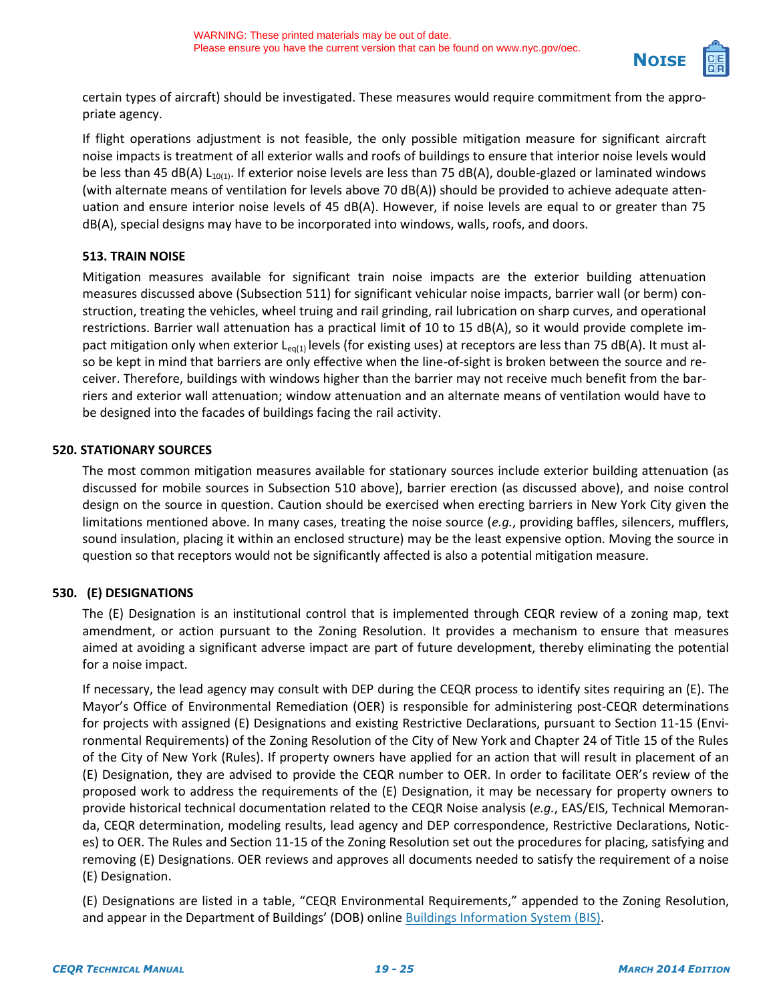

certain types of aircraft) should be investigated. These measures would require commitment from the appropriate agency.

If flight operations adjustment is not feasible, the only possible mitigation measure for significant aircraft noise impacts is treatment of all exterior walls and roofs of buildings to ensure that interior noise levels would be less than 45 dB(A)  $L_{10(1)}$ . If exterior noise levels are less than 75 dB(A), double-glazed or laminated windows (with alternate means of ventilation for levels above 70 dB(A)) should be provided to achieve adequate attenuation and ensure interior noise levels of 45 dB(A). However, if noise levels are equal to or greater than 75 dB(A), special designs may have to be incorporated into windows, walls, roofs, and doors.

## **513. TRAIN NOISE**

Mitigation measures available for significant train noise impacts are the exterior building attenuation measures discussed above (Subsection 511) for significant vehicular noise impacts, barrier wall (or berm) construction, treating the vehicles, wheel truing and rail grinding, rail lubrication on sharp curves, and operational restrictions. Barrier wall attenuation has a practical limit of 10 to 15 dB(A), so it would provide complete impact mitigation only when exterior  $L_{eq(1)}$  levels (for existing uses) at receptors are less than 75 dB(A). It must also be kept in mind that barriers are only effective when the line-of-sight is broken between the source and receiver. Therefore, buildings with windows higher than the barrier may not receive much benefit from the barriers and exterior wall attenuation; window attenuation and an alternate means of ventilation would have to be designed into the facades of buildings facing the rail activity.

## **520. STATIONARY SOURCES**

The most common mitigation measures available for stationary sources include exterior building attenuation (as discussed for mobile sources in Subsection 510 above), barrier erection (as discussed above), and noise control design on the source in question. Caution should be exercised when erecting barriers in New York City given the limitations mentioned above. In many cases, treating the noise source (*e.g.*, providing baffles, silencers, mufflers, sound insulation, placing it within an enclosed structure) may be the least expensive option. Moving the source in question so that receptors would not be significantly affected is also a potential mitigation measure.

## **530. (E) DESIGNATIONS**

The (E) Designation is an institutional control that is implemented through CEQR review of a zoning map, text amendment, or action pursuant to the Zoning Resolution. It provides a mechanism to ensure that measures aimed at avoiding a significant adverse impact are part of future development, thereby eliminating the potential for a noise impact.

If necessary, the lead agency may consult with DEP during the CEQR process to identify sites requiring an (E). The Mayor's Office of Environmental Remediation (OER) is responsible for administering post-CEQR determinations for projects with assigned (E) Designations and existing Restrictive Declarations, pursuant to Section 11-15 (Environmental Requirements) of the Zoning Resolution of the City of New York and Chapter 24 of Title 15 of the Rules of the City of New York (Rules). If property owners have applied for an action that will result in placement of an (E) Designation, they are advised to provide the CEQR number to OER. In order to facilitate OER's review of the proposed work to address the requirements of the (E) Designation, it may be necessary for property owners to provide historical technical documentation related to the CEQR Noise analysis (*e.g.*, EAS/EIS, Technical Memoranda, CEQR determination, modeling results, lead agency and DEP correspondence, Restrictive Declarations, Notices) to OER. The Rules and Section 11-15 of the Zoning Resolution set out the procedures for placing, satisfying and removing (E) Designations. OER reviews and approves all documents needed to satisfy the requirement of a noise (E) Designation.

(E) Designations are listed in a table, "CEQR Environmental Requirements," appended to the Zoning Resolution, and appear in the Department of Buildings' (DOB) onlin[e Buildings Information System \(BIS\).](http://a810-bisweb.nyc.gov/bisweb/bsqpm01.jsp)